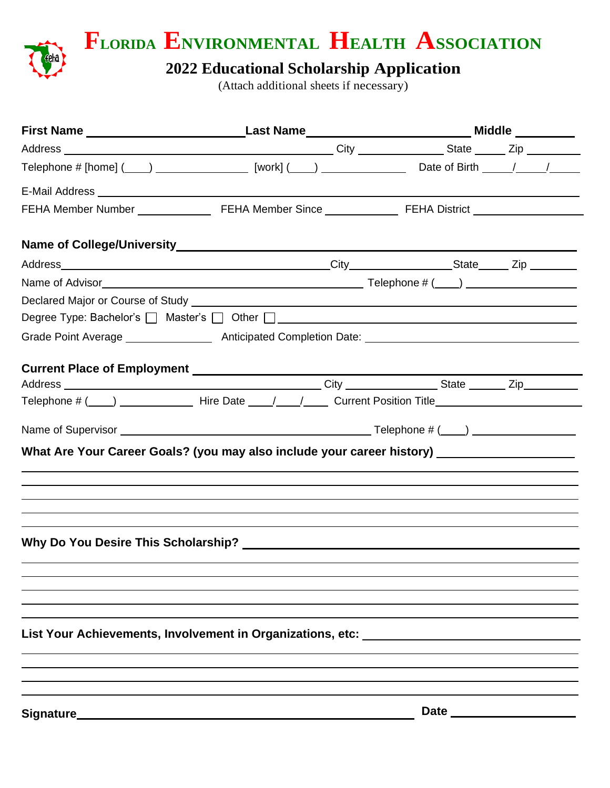

**FLORIDA ENVIRONMENTAL HEALTH ASSOCIATION**

## **2022 Educational Scholarship Application**

(Attach additional sheets if necessary)

|           | Degree Type: Bachelor's Master's Other LI Chemical Communication of the Communication of the Communication of the Communication of the Communication of the Communication of the Communication of the Communication of the Com |            |  |  |
|-----------|--------------------------------------------------------------------------------------------------------------------------------------------------------------------------------------------------------------------------------|------------|--|--|
|           |                                                                                                                                                                                                                                |            |  |  |
|           |                                                                                                                                                                                                                                |            |  |  |
|           |                                                                                                                                                                                                                                |            |  |  |
|           |                                                                                                                                                                                                                                |            |  |  |
|           |                                                                                                                                                                                                                                |            |  |  |
|           |                                                                                                                                                                                                                                |            |  |  |
|           | What Are Your Career Goals? (you may also include your career history) ______________________                                                                                                                                  |            |  |  |
|           |                                                                                                                                                                                                                                |            |  |  |
|           |                                                                                                                                                                                                                                |            |  |  |
|           | ,我们也不会有什么。""我们的人,我们也不会有什么?""我们的人,我们也不会有什么?""我们的人,我们也不会有什么?""我们的人,我们也不会有什么?""我们的人                                                                                                                                               |            |  |  |
|           | ,我们也不会有什么?""我们的人,我们也不会有什么?""我们的人,我们也不会有什么?""我们的人,我们也不会有什么?""我们的人,我们也不会有什么?""我们的人                                                                                                                                               |            |  |  |
|           |                                                                                                                                                                                                                                |            |  |  |
|           |                                                                                                                                                                                                                                |            |  |  |
|           |                                                                                                                                                                                                                                |            |  |  |
|           |                                                                                                                                                                                                                                |            |  |  |
|           |                                                                                                                                                                                                                                |            |  |  |
|           | List Your Achievements, Involvement in Organizations, etc:                                                                                                                                                                     |            |  |  |
|           |                                                                                                                                                                                                                                |            |  |  |
|           |                                                                                                                                                                                                                                |            |  |  |
|           |                                                                                                                                                                                                                                |            |  |  |
|           |                                                                                                                                                                                                                                |            |  |  |
| Signature |                                                                                                                                                                                                                                | Date _____ |  |  |